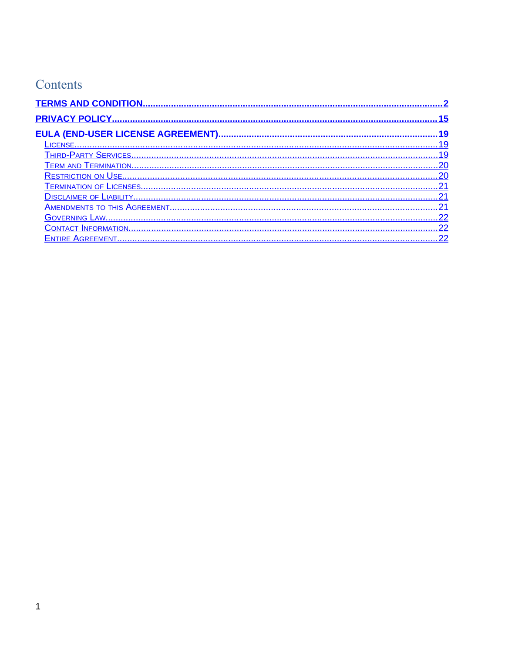# Contents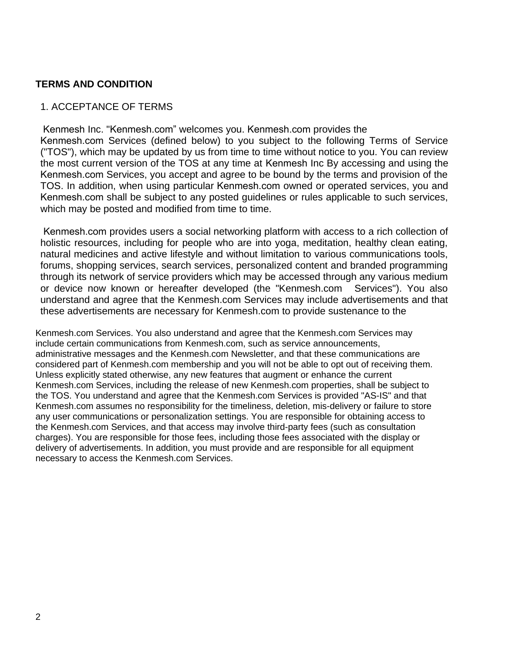# <span id="page-1-0"></span>**TERMS AND CONDITION**

# 1. ACCEPTANCE OF TERMS

 Kenmesh Inc. "Kenmesh.com" welcomes you. Kenmesh.com provides the Kenmesh.com Services (defined below) to you subject to the following Terms of Service ("TOS"), which may be updated by us from time to time without notice to you. You can review the most current version of the TOS at any time at Kenmesh Inc By accessing and using the Kenmesh.com Services, you accept and agree to be bound by the terms and provision of the TOS. In addition, when using particular Kenmesh.com owned or operated services, you and Kenmesh.com shall be subject to any posted guidelines or rules applicable to such services, which may be posted and modified from time to time.

Kenmesh.com provides users a social networking platform with access to a rich collection of holistic resources, including for people who are into yoga, meditation, healthy clean eating, natural medicines and active lifestyle and without limitation to various communications tools, forums, shopping services, search services, personalized content and branded programming through its network of service providers which may be accessed through any various medium or device now known or hereafter developed (the "Kenmesh.com Services"). You also understand and agree that the Kenmesh.com Services may include advertisements and that these advertisements are necessary for Kenmesh.com to provide sustenance to the

Kenmesh.com Services. You also understand and agree that the Kenmesh.com Services may include certain communications from Kenmesh.com, such as service announcements, administrative messages and the Kenmesh.com Newsletter, and that these communications are considered part of Kenmesh.com membership and you will not be able to opt out of receiving them. Unless explicitly stated otherwise, any new features that augment or enhance the current Kenmesh.com Services, including the release of new Kenmesh.com properties, shall be subject to the TOS. You understand and agree that the Kenmesh.com Services is provided "AS-IS" and that Kenmesh.com assumes no responsibility for the timeliness, deletion, mis-delivery or failure to store any user communications or personalization settings. You are responsible for obtaining access to the Kenmesh.com Services, and that access may involve third-party fees (such as consultation charges). You are responsible for those fees, including those fees associated with the display or delivery of advertisements. In addition, you must provide and are responsible for all equipment necessary to access the Kenmesh.com Services.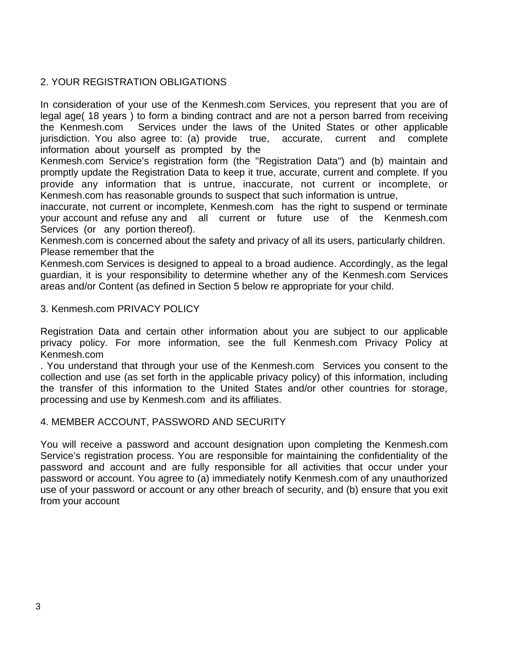# 2. YOUR REGISTRATION OBLIGATIONS

In consideration of your use of the Kenmesh.com Services, you represent that you are of legal age( 18 years ) to form a binding contract and are not a person barred from receiving the Kenmesh.com Services under the laws of the United States or other applicable jurisdiction. You also agree to: (a) provide true, accurate, current and complete information about yourself as prompted by the

Kenmesh.com Service's registration form (the "Registration Data") and (b) maintain and promptly update the Registration Data to keep it true, accurate, current and complete. If you provide any information that is untrue, inaccurate, not current or incomplete, or Kenmesh.com has reasonable grounds to suspect that such information is untrue,

inaccurate, not current or incomplete, Kenmesh.com has the right to suspend or terminate your account and refuse any and all current or future use of the Kenmesh.com Services (or any portion thereof).

Kenmesh.com is concerned about the safety and privacy of all its users, particularly children. Please remember that the

Kenmesh.com Services is designed to appeal to a broad audience. Accordingly, as the legal guardian, it is your responsibility to determine whether any of the Kenmesh.com Services areas and/or Content (as defined in Section 5 below re appropriate for your child.

3. Kenmesh.com PRIVACY POLICY

Registration Data and certain other information about you are subject to our applicable privacy policy. For more information, see the full Kenmesh.com Privacy Policy at Kenmesh.com

. You understand that through your use of the Kenmesh.com Services you consent to the collection and use (as set forth in the applicable privacy policy) of this information, including the transfer of this information to the United States and/or other countries for storage, processing and use by Kenmesh.com and its affiliates.

# 4. MEMBER ACCOUNT, PASSWORD AND SECURITY

You will receive a password and account designation upon completing the Kenmesh.com Service's registration process. You are responsible for maintaining the confidentiality of the password and account and are fully responsible for all activities that occur under your password or account. You agree to (a) immediately notify Kenmesh.com of any unauthorized use of your password or account or any other breach of security, and (b) ensure that you exit from your account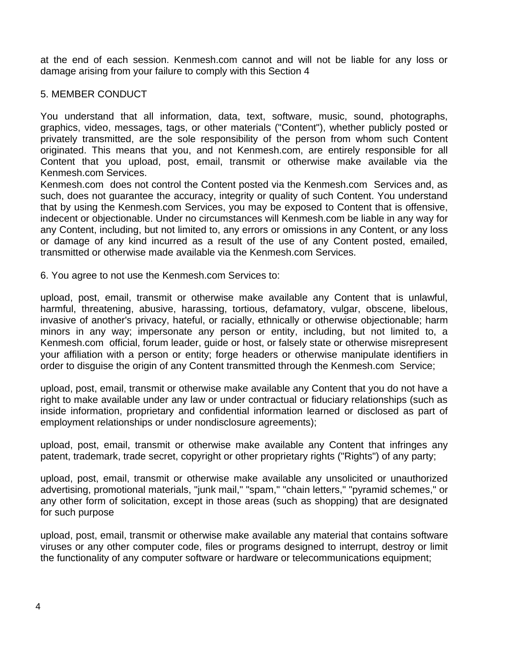at the end of each session. Kenmesh.com cannot and will not be liable for any loss or damage arising from your failure to comply with this Section 4

# 5. MEMBER CONDUCT

You understand that all information, data, text, software, music, sound, photographs, graphics, video, messages, tags, or other materials ("Content"), whether publicly posted or privately transmitted, are the sole responsibility of the person from whom such Content originated. This means that you, and not Kenmesh.com, are entirely responsible for all Content that you upload, post, email, transmit or otherwise make available via the Kenmesh.com Services.

Kenmesh.com does not control the Content posted via the Kenmesh.com Services and, as such, does not guarantee the accuracy, integrity or quality of such Content. You understand that by using the Kenmesh.com Services, you may be exposed to Content that is offensive, indecent or objectionable. Under no circumstances will Kenmesh.com be liable in any way for any Content, including, but not limited to, any errors or omissions in any Content, or any loss or damage of any kind incurred as a result of the use of any Content posted, emailed, transmitted or otherwise made available via the Kenmesh.com Services.

6. You agree to not use the Kenmesh.com Services to:

upload, post, email, transmit or otherwise make available any Content that is unlawful, harmful, threatening, abusive, harassing, tortious, defamatory, vulgar, obscene, libelous, invasive of another's privacy, hateful, or racially, ethnically or otherwise objectionable; harm minors in any way; impersonate any person or entity, including, but not limited to, a Kenmesh.com official, forum leader, guide or host, or falsely state or otherwise misrepresent your affiliation with a person or entity; forge headers or otherwise manipulate identifiers in order to disguise the origin of any Content transmitted through the Kenmesh.com Service;

upload, post, email, transmit or otherwise make available any Content that you do not have a right to make available under any law or under contractual or fiduciary relationships (such as inside information, proprietary and confidential information learned or disclosed as part of employment relationships or under nondisclosure agreements);

upload, post, email, transmit or otherwise make available any Content that infringes any patent, trademark, trade secret, copyright or other proprietary rights ("Rights") of any party;

upload, post, email, transmit or otherwise make available any unsolicited or unauthorized advertising, promotional materials, "junk mail," "spam," "chain letters," "pyramid schemes," or any other form of solicitation, except in those areas (such as shopping) that are designated for such purpose

upload, post, email, transmit or otherwise make available any material that contains software viruses or any other computer code, files or programs designed to interrupt, destroy or limit the functionality of any computer software or hardware or telecommunications equipment;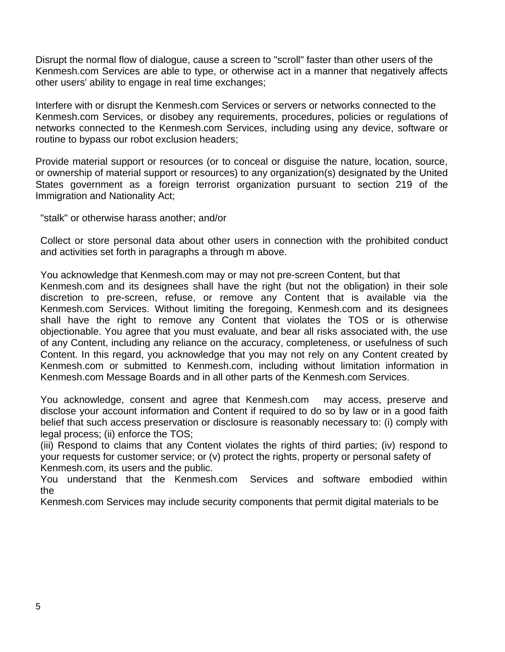Disrupt the normal flow of dialogue, cause a screen to "scroll" faster than other users of the Kenmesh.com Services are able to type, or otherwise act in a manner that negatively affects other users' ability to engage in real time exchanges;

Interfere with or disrupt the Kenmesh.com Services or servers or networks connected to the Kenmesh.com Services, or disobey any requirements, procedures, policies or regulations of networks connected to the Kenmesh.com Services, including using any device, software or routine to bypass our robot exclusion headers;

Provide material support or resources (or to conceal or disguise the nature, location, source, or ownership of material support or resources) to any organization(s) designated by the United States government as a foreign terrorist organization pursuant to section 219 of the Immigration and Nationality Act;

"stalk" or otherwise harass another; and/or

Collect or store personal data about other users in connection with the prohibited conduct and activities set forth in paragraphs a through m above.

You acknowledge that Kenmesh.com may or may not pre-screen Content, but that Kenmesh.com and its designees shall have the right (but not the obligation) in their sole discretion to pre-screen, refuse, or remove any Content that is available via the Kenmesh.com Services. Without limiting the foregoing, Kenmesh.com and its designees shall have the right to remove any Content that violates the TOS or is otherwise objectionable. You agree that you must evaluate, and bear all risks associated with, the use of any Content, including any reliance on the accuracy, completeness, or usefulness of such Content. In this regard, you acknowledge that you may not rely on any Content created by Kenmesh.com or submitted to Kenmesh.com, including without limitation information in Kenmesh.com Message Boards and in all other parts of the Kenmesh.com Services.

You acknowledge, consent and agree that Kenmesh.com may access, preserve and disclose your account information and Content if required to do so by law or in a good faith belief that such access preservation or disclosure is reasonably necessary to: (i) comply with legal process; (ii) enforce the TOS;

(iii) Respond to claims that any Content violates the rights of third parties; (iv) respond to your requests for customer service; or (v) protect the rights, property or personal safety of Kenmesh.com, its users and the public.

You understand that the Kenmesh.com Services and software embodied within the

Kenmesh.com Services may include security components that permit digital materials to be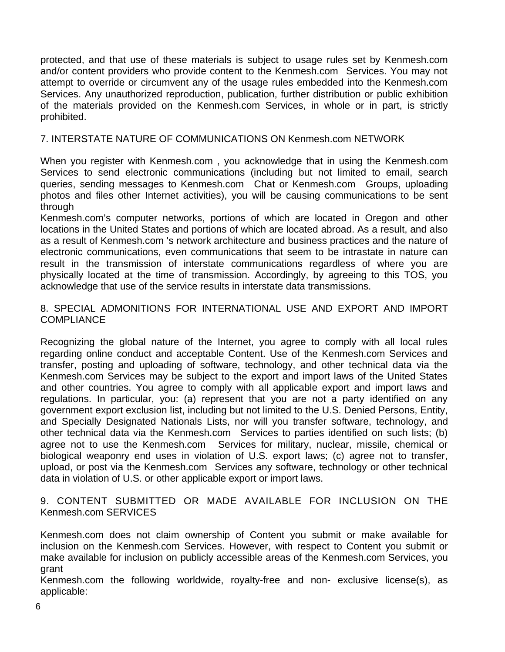protected, and that use of these materials is subject to usage rules set by Kenmesh.com and/or content providers who provide content to the Kenmesh.com Services. You may not attempt to override or circumvent any of the usage rules embedded into the Kenmesh.com Services. Any unauthorized reproduction, publication, further distribution or public exhibition of the materials provided on the Kenmesh.com Services, in whole or in part, is strictly prohibited.

# 7. INTERSTATE NATURE OF COMMUNICATIONS ON Kenmesh.com NETWORK

When you register with Kenmesh.com , you acknowledge that in using the Kenmesh.com Services to send electronic communications (including but not limited to email, search queries, sending messages to Kenmesh.com Chat or Kenmesh.com Groups, uploading photos and files other Internet activities), you will be causing communications to be sent through

Kenmesh.com's computer networks, portions of which are located in Oregon and other locations in the United States and portions of which are located abroad. As a result, and also as a result of Kenmesh.com 's network architecture and business practices and the nature of electronic communications, even communications that seem to be intrastate in nature can result in the transmission of interstate communications regardless of where you are physically located at the time of transmission. Accordingly, by agreeing to this TOS, you acknowledge that use of the service results in interstate data transmissions.

### 8. SPECIAL ADMONITIONS FOR INTERNATIONAL USE AND EXPORT AND IMPORT COMPLIANCE

Recognizing the global nature of the Internet, you agree to comply with all local rules regarding online conduct and acceptable Content. Use of the Kenmesh.com Services and transfer, posting and uploading of software, technology, and other technical data via the Kenmesh.com Services may be subject to the export and import laws of the United States and other countries. You agree to comply with all applicable export and import laws and regulations. In particular, you: (a) represent that you are not a party identified on any government export exclusion list, including but not limited to the U.S. Denied Persons, Entity, and Specially Designated Nationals Lists, nor will you transfer software, technology, and other technical data via the Kenmesh.com Services to parties identified on such lists; (b) agree not to use the Kenmesh.com Services for military, nuclear, missile, chemical or biological weaponry end uses in violation of U.S. export laws; (c) agree not to transfer, upload, or post via the Kenmesh.com Services any software, technology or other technical data in violation of U.S. or other applicable export or import laws.

9. CONTENT SUBMITTED OR MADE AVAILABLE FOR INCLUSION ON THE Kenmesh.com SERVICES

Kenmesh.com does not claim ownership of Content you submit or make available for inclusion on the Kenmesh.com Services. However, with respect to Content you submit or make available for inclusion on publicly accessible areas of the Kenmesh.com Services, you grant

Kenmesh.com the following worldwide, royalty-free and non- exclusive license(s), as applicable: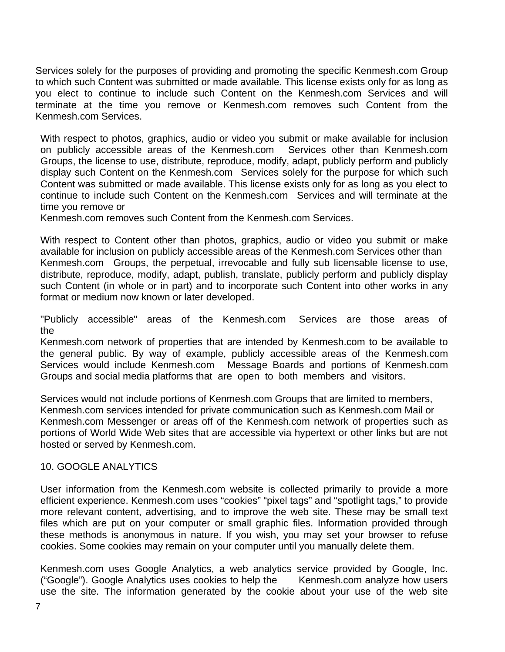Services solely for the purposes of providing and promoting the specific Kenmesh.com Group to which such Content was submitted or made available. This license exists only for as long as you elect to continue to include such Content on the Kenmesh.com Services and will terminate at the time you remove or Kenmesh.com removes such Content from the Kenmesh.com Services.

With respect to photos, graphics, audio or video you submit or make available for inclusion on publicly accessible areas of the Kenmesh.com Services other than Kenmesh.com Groups, the license to use, distribute, reproduce, modify, adapt, publicly perform and publicly display such Content on the Kenmesh.com Services solely for the purpose for which such Content was submitted or made available. This license exists only for as long as you elect to continue to include such Content on the Kenmesh.com Services and will terminate at the time you remove or

Kenmesh.com removes such Content from the Kenmesh.com Services.

With respect to Content other than photos, graphics, audio or video you submit or make available for inclusion on publicly accessible areas of the Kenmesh.com Services other than Kenmesh.com Groups, the perpetual, irrevocable and fully sub licensable license to use, distribute, reproduce, modify, adapt, publish, translate, publicly perform and publicly display such Content (in whole or in part) and to incorporate such Content into other works in any format or medium now known or later developed.

"Publicly accessible" areas of the Kenmesh.com Services are those areas of the

Kenmesh.com network of properties that are intended by Kenmesh.com to be available to the general public. By way of example, publicly accessible areas of the Kenmesh.com Services would include Kenmesh.com Message Boards and portions of Kenmesh.com Groups and social media platforms that are open to both members and visitors.

Services would not include portions of Kenmesh.com Groups that are limited to members, Kenmesh.com services intended for private communication such as Kenmesh.com Mail or Kenmesh.com Messenger or areas off of the Kenmesh.com network of properties such as portions of World Wide Web sites that are accessible via hypertext or other links but are not hosted or served by Kenmesh.com.

# 10. GOOGLE ANALYTICS

User information from the Kenmesh.com website is collected primarily to provide a more efficient experience. Kenmesh.com uses "cookies" "pixel tags" and "spotlight tags," to provide more relevant content, advertising, and to improve the web site. These may be small text files which are put on your computer or small graphic files. Information provided through these methods is anonymous in nature. If you wish, you may set your browser to refuse cookies. Some cookies may remain on your computer until you manually delete them.

Kenmesh.com uses Google Analytics, a web analytics service provided by Google, Inc. ("Google"). Google Analytics uses cookies to help the Kenmesh.com analyze how users use the site. The information generated by the cookie about your use of the web site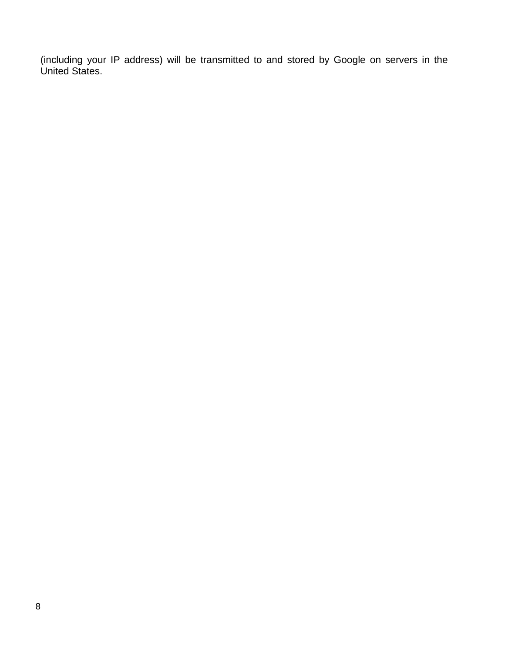(including your IP address) will be transmitted to and stored by Google on servers in the United States.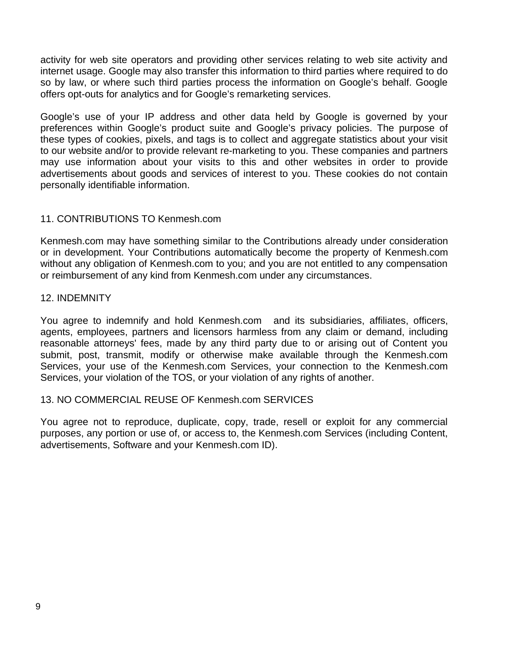activity for web site operators and providing other services relating to web site activity and internet usage. Google may also transfer this information to third parties where required to do so by law, or where such third parties process the information on Google's behalf. Google offers opt-outs for analytics and for Google's remarketing services.

Google's use of your IP address and other data held by Google is governed by your preferences within Google's product suite and Google's privacy policies. The purpose of these types of cookies, pixels, and tags is to collect and aggregate statistics about your visit to our website and/or to provide relevant re-marketing to you. These companies and partners may use information about your visits to this and other websites in order to provide advertisements about goods and services of interest to you. These cookies do not contain personally identifiable information.

# 11. CONTRIBUTIONS TO Kenmesh.com

Kenmesh.com may have something similar to the Contributions already under consideration or in development. Your Contributions automatically become the property of Kenmesh.com without any obligation of Kenmesh.com to you; and you are not entitled to any compensation or reimbursement of any kind from Kenmesh.com under any circumstances.

#### 12. INDEMNITY

You agree to indemnify and hold Kenmesh.com and its subsidiaries, affiliates, officers, agents, employees, partners and licensors harmless from any claim or demand, including reasonable attorneys' fees, made by any third party due to or arising out of Content you submit, post, transmit, modify or otherwise make available through the Kenmesh.com Services, your use of the Kenmesh.com Services, your connection to the Kenmesh.com Services, your violation of the TOS, or your violation of any rights of another.

# 13. NO COMMERCIAL REUSE OF Kenmesh.com SERVICES

You agree not to reproduce, duplicate, copy, trade, resell or exploit for any commercial purposes, any portion or use of, or access to, the Kenmesh.com Services (including Content, advertisements, Software and your Kenmesh.com ID).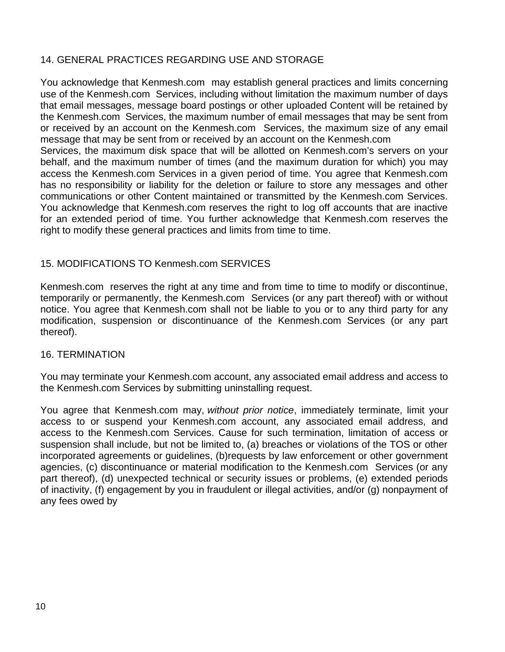# 14. GENERAL PRACTICES REGARDING USE AND STORAGE

You acknowledge that Kenmesh.com may establish general practices and limits concerning use of the Kenmesh.com Services, including without limitation the maximum number of days that email messages, message board postings or other uploaded Content will be retained by the Kenmesh.com Services, the maximum number of email messages that may be sent from or received by an account on the Kenmesh.com Services, the maximum size of any email message that may be sent from or received by an account on the Kenmesh.com Services, the maximum disk space that will be allotted on Kenmesh.com's servers on your behalf, and the maximum number of times (and the maximum duration for which) you may access the Kenmesh.com Services in a given period of time. You agree that Kenmesh.com has no responsibility or liability for the deletion or failure to store any messages and other communications or other Content maintained or transmitted by the Kenmesh.com Services. You acknowledge that Kenmesh.com reserves the right to log off accounts that are inactive for an extended period of time. You further acknowledge that Kenmesh.com reserves the right to modify these general practices and limits from time to time.

# 15. MODIFICATIONS TO Kenmesh.com SERVICES

Kenmesh.com reserves the right at any time and from time to time to modify or discontinue, temporarily or permanently, the Kenmesh.com Services (or any part thereof) with or without notice. You agree that Kenmesh.com shall not be liable to you or to any third party for any modification, suspension or discontinuance of the Kenmesh.com Services (or any part thereof).

# 16. TERMINATION

You may terminate your Kenmesh.com account, any associated email address and access to the Kenmesh.com Services by submitting uninstalling request.

You agree that Kenmesh.com may, *without prior notice*, immediately terminate, limit your access to or suspend your Kenmesh.com account, any associated email address, and access to the Kenmesh.com Services. Cause for such termination, limitation of access or suspension shall include, but not be limited to, (a) breaches or violations of the TOS or other incorporated agreements or guidelines, (b)requests by law enforcement or other government agencies, (c) discontinuance or material modification to the Kenmesh.com Services (or any part thereof), (d) unexpected technical or security issues or problems, (e) extended periods of inactivity, (f) engagement by you in fraudulent or illegal activities, and/or (g) nonpayment of any fees owed by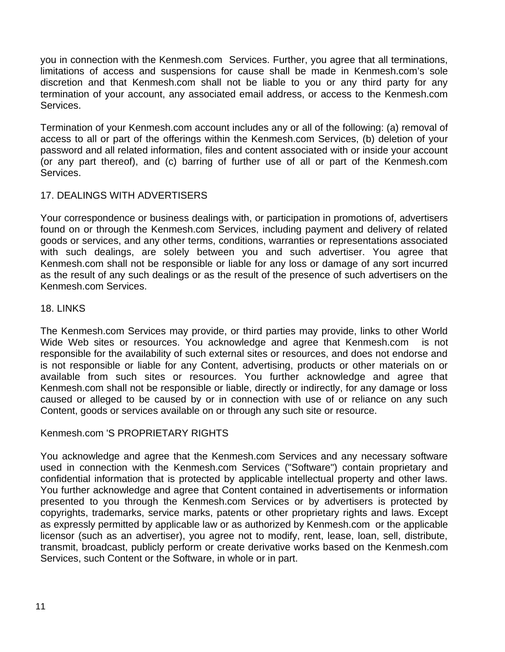you in connection with the Kenmesh.com Services. Further, you agree that all terminations, limitations of access and suspensions for cause shall be made in Kenmesh.com's sole discretion and that Kenmesh.com shall not be liable to you or any third party for any termination of your account, any associated email address, or access to the Kenmesh.com Services.

Termination of your Kenmesh.com account includes any or all of the following: (a) removal of access to all or part of the offerings within the Kenmesh.com Services, (b) deletion of your password and all related information, files and content associated with or inside your account (or any part thereof), and (c) barring of further use of all or part of the Kenmesh.com Services.

# 17. DEALINGS WITH ADVERTISERS

Your correspondence or business dealings with, or participation in promotions of, advertisers found on or through the Kenmesh.com Services, including payment and delivery of related goods or services, and any other terms, conditions, warranties or representations associated with such dealings, are solely between you and such advertiser. You agree that Kenmesh.com shall not be responsible or liable for any loss or damage of any sort incurred as the result of any such dealings or as the result of the presence of such advertisers on the Kenmesh.com Services.

# 18. LINKS

The Kenmesh.com Services may provide, or third parties may provide, links to other World Wide Web sites or resources. You acknowledge and agree that Kenmesh.com is not responsible for the availability of such external sites or resources, and does not endorse and is not responsible or liable for any Content, advertising, products or other materials on or available from such sites or resources. You further acknowledge and agree that Kenmesh.com shall not be responsible or liable, directly or indirectly, for any damage or loss caused or alleged to be caused by or in connection with use of or reliance on any such Content, goods or services available on or through any such site or resource.

# Kenmesh.com 'S PROPRIETARY RIGHTS

You acknowledge and agree that the Kenmesh.com Services and any necessary software used in connection with the Kenmesh.com Services ("Software") contain proprietary and confidential information that is protected by applicable intellectual property and other laws. You further acknowledge and agree that Content contained in advertisements or information presented to you through the Kenmesh.com Services or by advertisers is protected by copyrights, trademarks, service marks, patents or other proprietary rights and laws. Except as expressly permitted by applicable law or as authorized by Kenmesh.com or the applicable licensor (such as an advertiser), you agree not to modify, rent, lease, loan, sell, distribute, transmit, broadcast, publicly perform or create derivative works based on the Kenmesh.com Services, such Content or the Software, in whole or in part.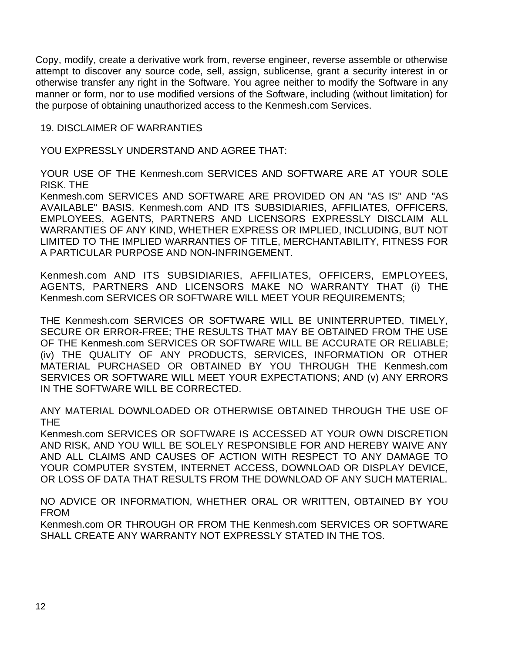Copy, modify, create a derivative work from, reverse engineer, reverse assemble or otherwise attempt to discover any source code, sell, assign, sublicense, grant a security interest in or otherwise transfer any right in the Software. You agree neither to modify the Software in any manner or form, nor to use modified versions of the Software, including (without limitation) for the purpose of obtaining unauthorized access to the Kenmesh.com Services.

### 19. DISCLAIMER OF WARRANTIES

YOU EXPRESSLY UNDERSTAND AND AGREE THAT:

YOUR USE OF THE Kenmesh.com SERVICES AND SOFTWARE ARE AT YOUR SOLE RISK. THE

Kenmesh.com SERVICES AND SOFTWARE ARE PROVIDED ON AN "AS IS" AND "AS AVAILABLE" BASIS. Kenmesh.com AND ITS SUBSIDIARIES, AFFILIATES, OFFICERS, EMPLOYEES, AGENTS, PARTNERS AND LICENSORS EXPRESSLY DISCLAIM ALL WARRANTIES OF ANY KIND, WHETHER EXPRESS OR IMPLIED, INCLUDING, BUT NOT LIMITED TO THE IMPLIED WARRANTIES OF TITLE, MERCHANTABILITY, FITNESS FOR A PARTICULAR PURPOSE AND NON-INFRINGEMENT.

Kenmesh.com AND ITS SUBSIDIARIES, AFFILIATES, OFFICERS, EMPLOYEES, AGENTS, PARTNERS AND LICENSORS MAKE NO WARRANTY THAT (i) THE Kenmesh.com SERVICES OR SOFTWARE WILL MEET YOUR REQUIREMENTS;

THE Kenmesh.com SERVICES OR SOFTWARE WILL BE UNINTERRUPTED, TIMELY, SECURE OR ERROR-FREE; THE RESULTS THAT MAY BE OBTAINED FROM THE USE OF THE Kenmesh.com SERVICES OR SOFTWARE WILL BE ACCURATE OR RELIABLE; (iv) THE QUALITY OF ANY PRODUCTS, SERVICES, INFORMATION OR OTHER MATERIAL PURCHASED OR OBTAINED BY YOU THROUGH THE Kenmesh.com SERVICES OR SOFTWARE WILL MEET YOUR EXPECTATIONS; AND (v) ANY ERRORS IN THE SOFTWARE WILL BE CORRECTED.

ANY MATERIAL DOWNLOADED OR OTHERWISE OBTAINED THROUGH THE USE OF THE

Kenmesh.com SERVICES OR SOFTWARE IS ACCESSED AT YOUR OWN DISCRETION AND RISK, AND YOU WILL BE SOLELY RESPONSIBLE FOR AND HEREBY WAIVE ANY AND ALL CLAIMS AND CAUSES OF ACTION WITH RESPECT TO ANY DAMAGE TO YOUR COMPUTER SYSTEM, INTERNET ACCESS, DOWNLOAD OR DISPLAY DEVICE, OR LOSS OF DATA THAT RESULTS FROM THE DOWNLOAD OF ANY SUCH MATERIAL.

NO ADVICE OR INFORMATION, WHETHER ORAL OR WRITTEN, OBTAINED BY YOU FROM

Kenmesh.com OR THROUGH OR FROM THE Kenmesh.com SERVICES OR SOFTWARE SHALL CREATE ANY WARRANTY NOT EXPRESSLY STATED IN THE TOS.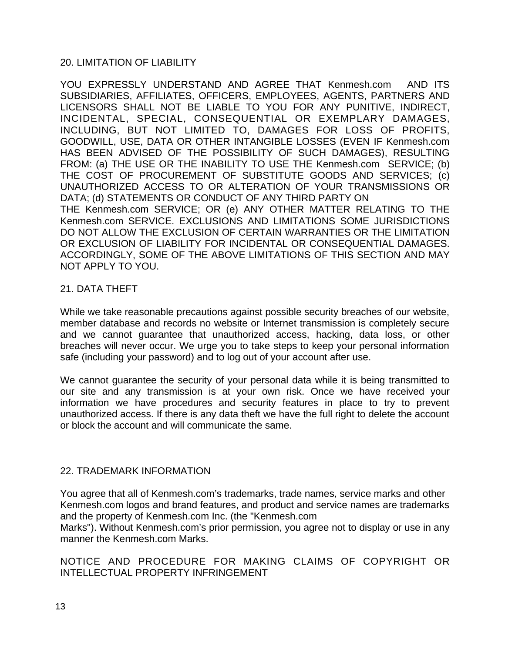# 20. LIMITATION OF LIABILITY

YOU EXPRESSLY UNDERSTAND AND AGREE THAT Kenmesh.com AND ITS SUBSIDIARIES, AFFILIATES, OFFICERS, EMPLOYEES, AGENTS, PARTNERS AND LICENSORS SHALL NOT BE LIABLE TO YOU FOR ANY PUNITIVE, INDIRECT, INCIDENTAL, SPECIAL, CONSEQUENTIAL OR EXEMPLARY DAMAGES, INCLUDING, BUT NOT LIMITED TO, DAMAGES FOR LOSS OF PROFITS, GOODWILL, USE, DATA OR OTHER INTANGIBLE LOSSES (EVEN IF Kenmesh.com HAS BEEN ADVISED OF THE POSSIBILITY OF SUCH DAMAGES), RESULTING FROM: (a) THE USE OR THE INABILITY TO USE THE Kenmesh.com SERVICE; (b) THE COST OF PROCUREMENT OF SUBSTITUTE GOODS AND SERVICES; (c) UNAUTHORIZED ACCESS TO OR ALTERATION OF YOUR TRANSMISSIONS OR DATA; (d) STATEMENTS OR CONDUCT OF ANY THIRD PARTY ON THE Kenmesh.com SERVICE; OR (e) ANY OTHER MATTER RELATING TO THE Kenmesh.com SERVICE. EXCLUSIONS AND LIMITATIONS SOME JURISDICTIONS DO NOT ALLOW THE EXCLUSION OF CERTAIN WARRANTIES OR THE LIMITATION OR EXCLUSION OF LIABILITY FOR INCIDENTAL OR CONSEQUENTIAL DAMAGES. ACCORDINGLY, SOME OF THE ABOVE LIMITATIONS OF THIS SECTION AND MAY NOT APPLY TO YOU.

# 21. DATA THEFT

While we take reasonable precautions against possible security breaches of our website, member database and records no website or Internet transmission is completely secure and we cannot guarantee that unauthorized access, hacking, data loss, or other breaches will never occur. We urge you to take steps to keep your personal information safe (including your password) and to log out of your account after use.

We cannot quarantee the security of your personal data while it is being transmitted to our site and any transmission is at your own risk. Once we have received your information we have procedures and security features in place to try to prevent unauthorized access. If there is any data theft we have the full right to delete the account or block the account and will communicate the same.

# 22. TRADEMARK INFORMATION

You agree that all of Kenmesh.com's trademarks, trade names, service marks and other Kenmesh.com logos and brand features, and product and service names are trademarks and the property of Kenmesh.com Inc. (the "Kenmesh.com Marks"). Without Kenmesh.com's prior permission, you agree not to display or use in any manner the Kenmesh.com Marks.

# NOTICE AND PROCEDURE FOR MAKING CLAIMS OF COPYRIGHT OR INTELLECTUAL PROPERTY INFRINGEMENT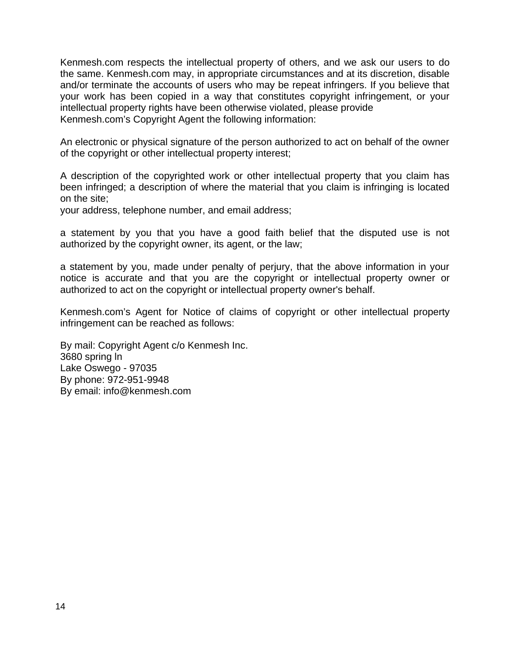Kenmesh.com respects the intellectual property of others, and we ask our users to do the same. Kenmesh.com may, in appropriate circumstances and at its discretion, disable and/or terminate the accounts of users who may be repeat infringers. If you believe that your work has been copied in a way that constitutes copyright infringement, or your intellectual property rights have been otherwise violated, please provide Kenmesh.com's Copyright Agent the following information:

An electronic or physical signature of the person authorized to act on behalf of the owner of the copyright or other intellectual property interest;

A description of the copyrighted work or other intellectual property that you claim has been infringed; a description of where the material that you claim is infringing is located on the site;

your address, telephone number, and email address;

a statement by you that you have a good faith belief that the disputed use is not authorized by the copyright owner, its agent, or the law;

a statement by you, made under penalty of perjury, that the above information in your notice is accurate and that you are the copyright or intellectual property owner or authorized to act on the copyright or intellectual property owner's behalf.

Kenmesh.com's Agent for Notice of claims of copyright or other intellectual property infringement can be reached as follows:

By mail: Copyright Agent c/o Kenmesh Inc. 3680 spring ln Lake Oswego - 97035 By phone: 972-951-9948 By email: info@kenmesh.com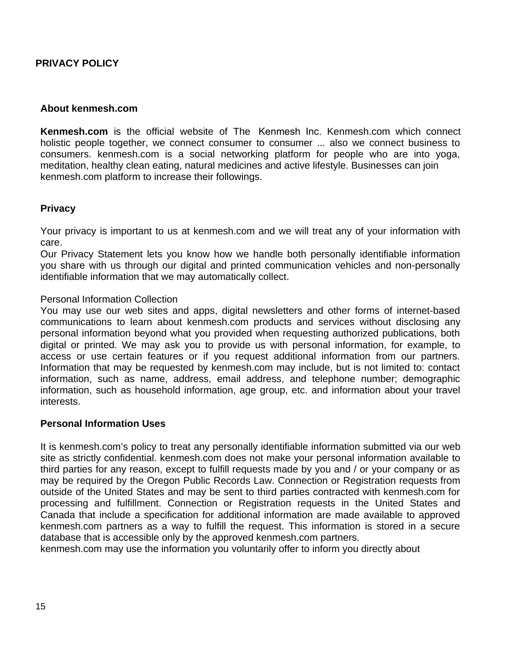# <span id="page-14-0"></span>**PRIVACY POLICY**

#### **About kenmesh.com**

**Kenmesh.com** is the official website of The Kenmesh Inc. Kenmesh.com which connect holistic people together, we connect consumer to consumer ... also we connect business to consumers. kenmesh.com is a social networking platform for people who are into yoga, meditation, healthy clean eating, natural medicines and active lifestyle. Businesses can join kenmesh.com platform to increase their followings.

#### **Privacy**

Your privacy is important to us at kenmesh.com and we will treat any of your information with care.

Our Privacy Statement lets you know how we handle both personally identifiable information you share with us through our digital and printed communication vehicles and non-personally identifiable information that we may automatically collect.

#### Personal Information Collection

You may use our web sites and apps, digital newsletters and other forms of internet-based communications to learn about kenmesh.com products and services without disclosing any personal information beyond what you provided when requesting authorized publications, both digital or printed. We may ask you to provide us with personal information, for example, to access or use certain features or if you request additional information from our partners. Information that may be requested by kenmesh.com may include, but is not limited to: contact information, such as name, address, email address, and telephone number; demographic information, such as household information, age group, etc. and information about your travel interests.

#### **Personal Information Uses**

It is kenmesh.com's policy to treat any personally identifiable information submitted via our web site as strictly confidential. kenmesh.com does not make your personal information available to third parties for any reason, except to fulfill requests made by you and / or your company or as may be required by the Oregon Public Records Law. Connection or Registration requests from outside of the United States and may be sent to third parties contracted with kenmesh.com for processing and fulfillment. Connection or Registration requests in the United States and Canada that include a specification for additional information are made available to approved kenmesh.com partners as a way to fulfill the request. This information is stored in a secure database that is accessible only by the approved kenmesh.com partners.

kenmesh.com may use the information you voluntarily offer to inform you directly about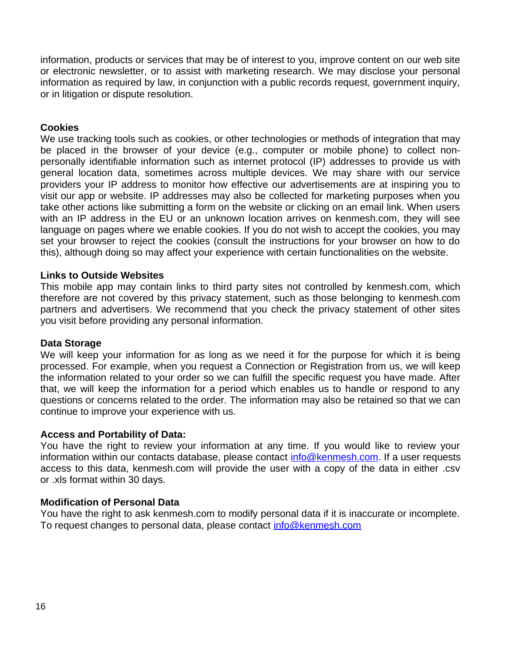information, products or services that may be of interest to you, improve content on our web site or electronic newsletter, or to assist with marketing research. We may disclose your personal information as required by law, in conjunction with a public records request, government inquiry, or in litigation or dispute resolution.

### **Cookies**

We use tracking tools such as cookies, or other technologies or methods of integration that may be placed in the browser of your device (e.g., computer or mobile phone) to collect nonpersonally identifiable information such as internet protocol (IP) addresses to provide us with general location data, sometimes across multiple devices. We may share with our service providers your IP address to monitor how effective our advertisements are at inspiring you to visit our app or website. IP addresses may also be collected for marketing purposes when you take other actions like submitting a form on the website or clicking on an email link. When users with an IP address in the EU or an unknown location arrives on kenmesh.com, they will see language on pages where we enable cookies. If you do not wish to accept the cookies, you may set your browser to reject the cookies (consult the instructions for your browser on how to do this), although doing so may affect your experience with certain functionalities on the website.

#### **Links to Outside Websites**

This mobile app may contain links to third party sites not controlled by kenmesh.com, which therefore are not covered by this privacy statement, such as those belonging to kenmesh.com partners and advertisers. We recommend that you check the privacy statement of other sites you visit before providing any personal information.

#### **Data Storage**

We will keep your information for as long as we need it for the purpose for which it is being processed. For example, when you request a Connection or Registration from us, we will keep the information related to your order so we can fulfill the specific request you have made. After that, we will keep the information for a period which enables us to handle or respond to any questions or concerns related to the order. The information may also be retained so that we can continue to improve your experience with us.

#### **Access and Portability of Data:**

You have the right to review your information at any time. If you would like to review your information within our contacts database, please contact [info@kenmesh.com.](mailto:info@traveloregon.com) If a user requests access to this data, kenmesh.com will provide the user with a copy of the data in either .csv or .xls format within 30 days.

# **Modification of Personal Data**

You have the right to ask kenmesh.com to modify personal data if it is inaccurate or incomplete. To request changes to personal data, please contact [info@kenmesh.com](mailto:info@traveloregon.com)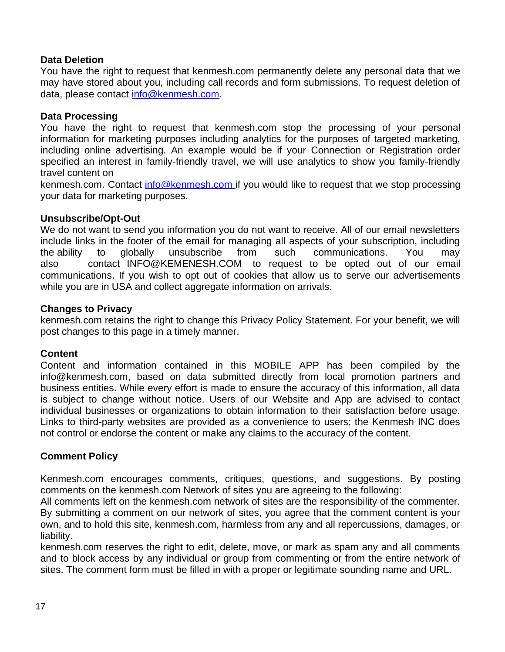# **Data Deletion**

You have the right to request that kenmesh.com permanently delete any personal data that we may have stored about you, including call records and form submissions. To request deletion of data, please contact [info@kenmesh.com.](mailto:info@traveloregon.com)

# **Data Processing**

You have the right to request that kenmesh.com stop the processing of your personal information for marketing purposes including analytics for the purposes of targeted marketing, including online advertising. An example would be if your Connection or Registration order specified an interest in family-friendly travel, we will use analytics to show you family-friendly travel content on

kenmesh.com. Contact [info@kenmesh.com](mailto:info@traveloregon.com) if you would like to request that we stop processing your data for marketing purposes.

# **Unsubscribe/Opt-Out**

We do not want to send you information you do not want to receive. All of our email newsletters include links in the footer of the email for managing all aspects of your subscription, including the ability to globally unsubscribe from such communications. You may also contact INFO@KEMENESH.COM to request to be opted out of our email communications. If you wish to opt out of cookies that allow us to serve our advertisements while you are in USA and collect aggregate information on arrivals.

# **Changes to Privacy**

kenmesh.com retains the right to change this Privacy Policy Statement. For your benefit, we will post changes to this page in a timely manner.

# **Content**

Content and information contained in this MOBILE APP has been compiled by the info@kenmesh.com, based on data submitted directly from local promotion partners and business entities. While every effort is made to ensure the accuracy of this information, all data is subject to change without notice. Users of our Website and App are advised to contact individual businesses or organizations to obtain information to their satisfaction before usage. Links to third-party websites are provided as a convenience to users; the Kenmesh INC does not control or endorse the content or make any claims to the accuracy of the content.

# **Comment Policy**

Kenmesh.com encourages comments, critiques, questions, and suggestions. By posting comments on the kenmesh.com Network of sites you are agreeing to the following:

All comments left on the kenmesh.com network of sites are the responsibility of the commenter. By submitting a comment on our network of sites, you agree that the comment content is your own, and to hold this site, kenmesh.com, harmless from any and all repercussions, damages, or liability.

kenmesh.com reserves the right to edit, delete, move, or mark as spam any and all comments and to block access by any individual or group from commenting or from the entire network of sites. The comment form must be filled in with a proper or legitimate sounding name and URL.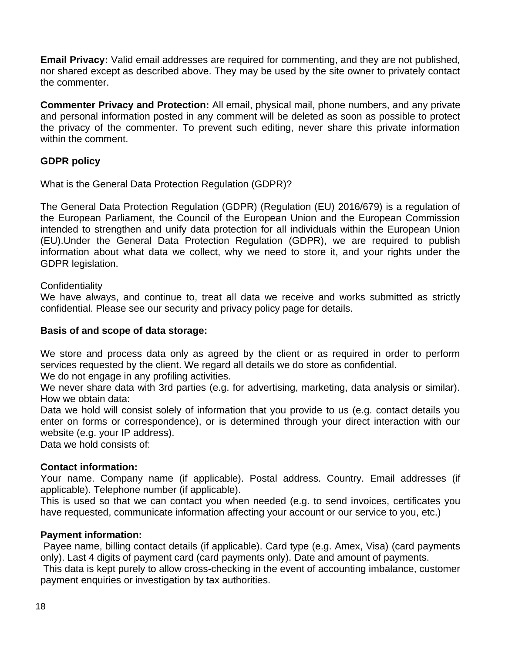**Email Privacy:** Valid email addresses are required for commenting, and they are not published, nor shared except as described above. They may be used by the site owner to privately contact the commenter.

**Commenter Privacy and Protection:** All email, physical mail, phone numbers, and any private and personal information posted in any comment will be deleted as soon as possible to protect the privacy of the commenter. To prevent such editing, never share this private information within the comment.

# **GDPR policy**

What is the General Data Protection Regulation (GDPR)?

The General Data Protection Regulation (GDPR) (Regulation (EU) 2016/679) is a regulation of the European Parliament, the Council of the European Union and the European Commission intended to strengthen and unify data protection for all individuals within the European Union (EU).Under the General Data Protection Regulation (GDPR), we are required to publish information about what data we collect, why we need to store it, and your rights under the GDPR legislation.

# **Confidentiality**

We have always, and continue to, treat all data we receive and works submitted as strictly confidential. Please see our security and privacy policy page for details.

# **Basis of and scope of data storage:**

We store and process data only as agreed by the client or as required in order to perform services requested by the client. We regard all details we do store as confidential.

We do not engage in any profiling activities.

We never share data with 3rd parties (e.g. for advertising, marketing, data analysis or similar). How we obtain data:

Data we hold will consist solely of information that you provide to us (e.g. contact details you enter on forms or correspondence), or is determined through your direct interaction with our website (e.g. your IP address).

Data we hold consists of:

# **Contact information:**

Your name. Company name (if applicable). Postal address. Country. Email addresses (if applicable). Telephone number (if applicable).

This is used so that we can contact you when needed (e.g. to send invoices, certificates you have requested, communicate information affecting your account or our service to you, etc.)

#### **Payment information:**

 Payee name, billing contact details (if applicable). Card type (e.g. Amex, Visa) (card payments only). Last 4 digits of payment card (card payments only). Date and amount of payments.

 This data is kept purely to allow cross-checking in the event of accounting imbalance, customer payment enquiries or investigation by tax authorities.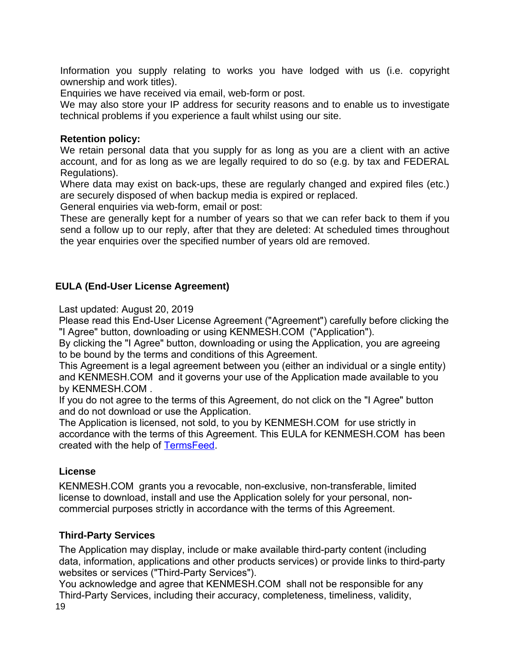Information you supply relating to works you have lodged with us (i.e. copyright ownership and work titles).

Enquiries we have received via email, web-form or post.

We may also store your IP address for security reasons and to enable us to investigate technical problems if you experience a fault whilst using our site.

# **Retention policy:**

We retain personal data that you supply for as long as you are a client with an active account, and for as long as we are legally required to do so (e.g. by tax and FEDERAL Regulations).

Where data may exist on back-ups, these are regularly changed and expired files (etc.) are securely disposed of when backup media is expired or replaced.

General enquiries via web-form, email or post:

These are generally kept for a number of years so that we can refer back to them if you send a follow up to our reply, after that they are deleted: At scheduled times throughout the year enquiries over the specified number of years old are removed.

# <span id="page-18-2"></span>**EULA (End-User License Agreement)**

Last updated: August 20, 2019

Please read this End-User License Agreement ("Agreement") carefully before clicking the "I Agree" button, downloading or using KENMESH.COM ("Application").

By clicking the "I Agree" button, downloading or using the Application, you are agreeing to be bound by the terms and conditions of this Agreement.

This Agreement is a legal agreement between you (either an individual or a single entity) and KENMESH.COM and it governs your use of the Application made available to you by KENMESH.COM .

If you do not agree to the terms of this Agreement, do not click on the "I Agree" button and do not download or use the Application.

The Application is licensed, not sold, to you by KENMESH.COM for use strictly in accordance with the terms of this Agreement. This EULA for KENMESH.COM has been created with the help of [TermsFeed.](https://www.termsfeed.com/)

# <span id="page-18-1"></span>**License**

KENMESH.COM grants you a revocable, non-exclusive, non-transferable, limited license to download, install and use the Application solely for your personal, noncommercial purposes strictly in accordance with the terms of this Agreement.

# <span id="page-18-0"></span>**Third-Party Services**

The Application may display, include or make available third-party content (including data, information, applications and other products services) or provide links to third-party websites or services ("Third-Party Services").

You acknowledge and agree that KENMESH.COM shall not be responsible for any Third-Party Services, including their accuracy, completeness, timeliness, validity,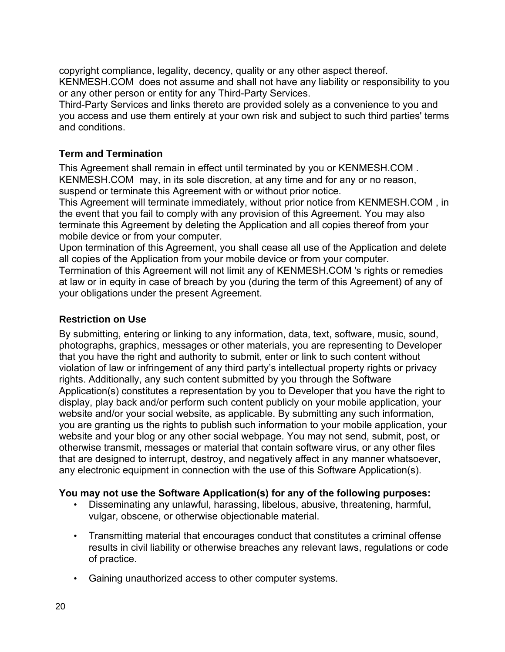copyright compliance, legality, decency, quality or any other aspect thereof. KENMESH.COM does not assume and shall not have any liability or responsibility to you or any other person or entity for any Third-Party Services.

Third-Party Services and links thereto are provided solely as a convenience to you and you access and use them entirely at your own risk and subject to such third parties' terms and conditions.

# <span id="page-19-1"></span>**Term and Termination**

This Agreement shall remain in effect until terminated by you or KENMESH.COM . KENMESH.COM may, in its sole discretion, at any time and for any or no reason, suspend or terminate this Agreement with or without prior notice.

This Agreement will terminate immediately, without prior notice from KENMESH.COM , in the event that you fail to comply with any provision of this Agreement. You may also terminate this Agreement by deleting the Application and all copies thereof from your mobile device or from your computer.

Upon termination of this Agreement, you shall cease all use of the Application and delete all copies of the Application from your mobile device or from your computer.

Termination of this Agreement will not limit any of KENMESH.COM 's rights or remedies at law or in equity in case of breach by you (during the term of this Agreement) of any of your obligations under the present Agreement.

# <span id="page-19-0"></span>**Restriction on Use**

By submitting, entering or linking to any information, data, text, software, music, sound, photographs, graphics, messages or other materials, you are representing to Developer that you have the right and authority to submit, enter or link to such content without violation of law or infringement of any third party's intellectual property rights or privacy rights. Additionally, any such content submitted by you through the Software Application(s) constitutes a representation by you to Developer that you have the right to display, play back and/or perform such content publicly on your mobile application, your website and/or your social website, as applicable. By submitting any such information, you are granting us the rights to publish such information to your mobile application, your website and your blog or any other social webpage. You may not send, submit, post, or otherwise transmit, messages or material that contain software virus, or any other files that are designed to interrupt, destroy, and negatively affect in any manner whatsoever, any electronic equipment in connection with the use of this Software Application(s).

# **You may not use the Software Application(s) for any of the following purposes:**

- Disseminating any unlawful, harassing, libelous, abusive, threatening, harmful, vulgar, obscene, or otherwise objectionable material.
- Transmitting material that encourages conduct that constitutes a criminal offense results in civil liability or otherwise breaches any relevant laws, regulations or code of practice.
- Gaining unauthorized access to other computer systems.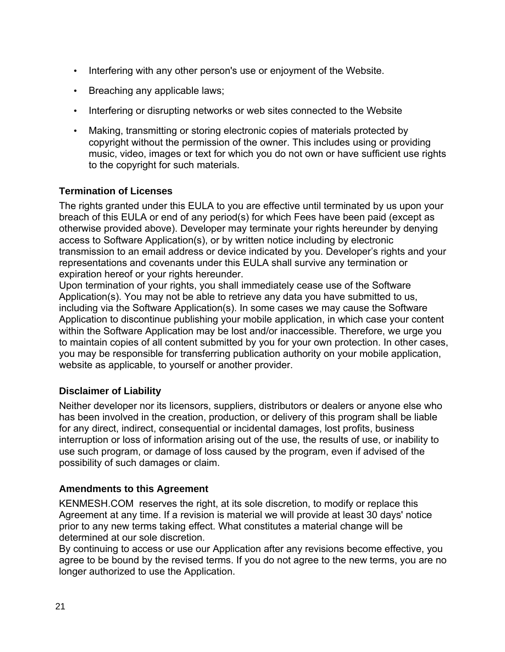- Interfering with any other person's use or enjoyment of the Website.
- Breaching any applicable laws;
- Interfering or disrupting networks or web sites connected to the Website
- Making, transmitting or storing electronic copies of materials protected by copyright without the permission of the owner. This includes using or providing music, video, images or text for which you do not own or have sufficient use rights to the copyright for such materials.

# <span id="page-20-2"></span>**Termination of Licenses**

The rights granted under this EULA to you are effective until terminated by us upon your breach of this EULA or end of any period(s) for which Fees have been paid (except as otherwise provided above). Developer may terminate your rights hereunder by denying access to Software Application(s), or by written notice including by electronic transmission to an email address or device indicated by you. Developer's rights and your representations and covenants under this EULA shall survive any termination or expiration hereof or your rights hereunder.

Upon termination of your rights, you shall immediately cease use of the Software Application(s). You may not be able to retrieve any data you have submitted to us, including via the Software Application(s). In some cases we may cause the Software Application to discontinue publishing your mobile application, in which case your content within the Software Application may be lost and/or inaccessible. Therefore, we urge you to maintain copies of all content submitted by you for your own protection. In other cases, you may be responsible for transferring publication authority on your mobile application, website as applicable, to yourself or another provider.

# <span id="page-20-1"></span>**Disclaimer of Liability**

Neither developer nor its licensors, suppliers, distributors or dealers or anyone else who has been involved in the creation, production, or delivery of this program shall be liable for any direct, indirect, consequential or incidental damages, lost profits, business interruption or loss of information arising out of the use, the results of use, or inability to use such program, or damage of loss caused by the program, even if advised of the possibility of such damages or claim.

# <span id="page-20-0"></span>**Amendments to this Agreement**

KENMESH.COM reserves the right, at its sole discretion, to modify or replace this Agreement at any time. If a revision is material we will provide at least 30 days' notice prior to any new terms taking effect. What constitutes a material change will be determined at our sole discretion.

By continuing to access or use our Application after any revisions become effective, you agree to be bound by the revised terms. If you do not agree to the new terms, you are no longer authorized to use the Application.